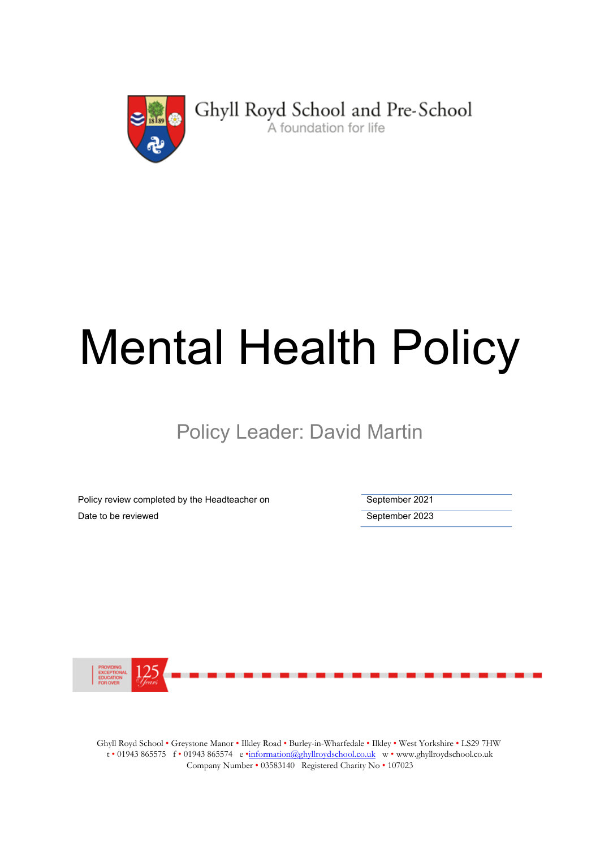

# Mental Health Policy

Policy Leader: David Martin

Policy review completed by the Headteacher on September 2021 Date to be reviewed **September 2023** 



Ghyll Royd School • Greystone Manor • Ilkley Road • Burley-in-Wharfedale • Ilkley • West Yorkshire • LS29 7HW t • 01943 865575 f • 01943 865574 e •information@ghyllroydschool.co.uk w • www.ghyllroydschool.co.uk Company Number • 03583140 Registered Charity No • 107023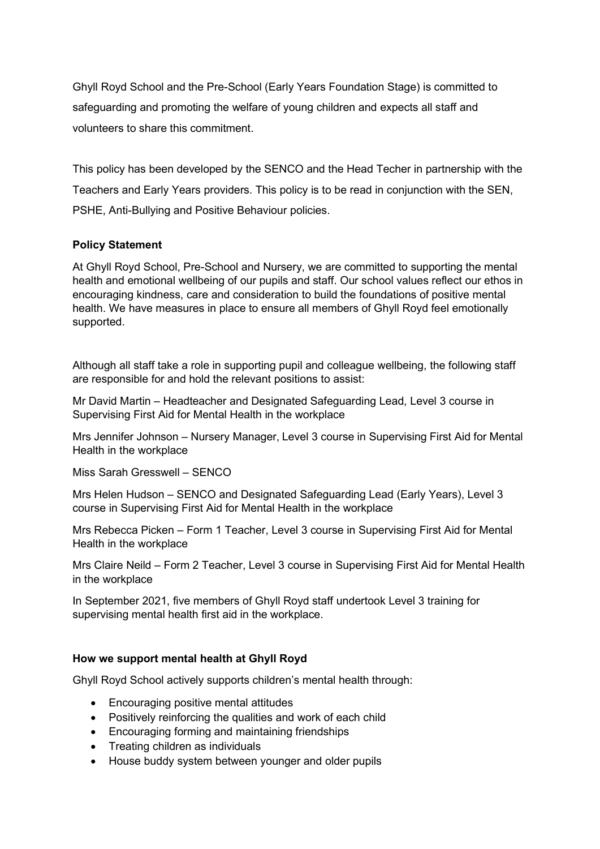Ghyll Royd School and the Pre-School (Early Years Foundation Stage) is committed to safeguarding and promoting the welfare of young children and expects all staff and volunteers to share this commitment.

This policy has been developed by the SENCO and the Head Techer in partnership with the Teachers and Early Years providers. This policy is to be read in conjunction with the SEN, PSHE, Anti-Bullying and Positive Behaviour policies.

# Policy Statement

At Ghyll Royd School, Pre-School and Nursery, we are committed to supporting the mental health and emotional wellbeing of our pupils and staff. Our school values reflect our ethos in encouraging kindness, care and consideration to build the foundations of positive mental health. We have measures in place to ensure all members of Ghyll Royd feel emotionally supported.

Although all staff take a role in supporting pupil and colleague wellbeing, the following staff are responsible for and hold the relevant positions to assist:

Mr David Martin – Headteacher and Designated Safeguarding Lead, Level 3 course in Supervising First Aid for Mental Health in the workplace

Mrs Jennifer Johnson – Nursery Manager, Level 3 course in Supervising First Aid for Mental Health in the workplace

Miss Sarah Gresswell – SENCO

Mrs Helen Hudson – SENCO and Designated Safeguarding Lead (Early Years), Level 3 course in Supervising First Aid for Mental Health in the workplace

Mrs Rebecca Picken – Form 1 Teacher, Level 3 course in Supervising First Aid for Mental Health in the workplace

Mrs Claire Neild – Form 2 Teacher, Level 3 course in Supervising First Aid for Mental Health in the workplace

In September 2021, five members of Ghyll Royd staff undertook Level 3 training for supervising mental health first aid in the workplace.

# How we support mental health at Ghyll Royd

Ghyll Royd School actively supports children's mental health through:

- Encouraging positive mental attitudes
- Positively reinforcing the qualities and work of each child
- Encouraging forming and maintaining friendships
- Treating children as individuals
- House buddy system between younger and older pupils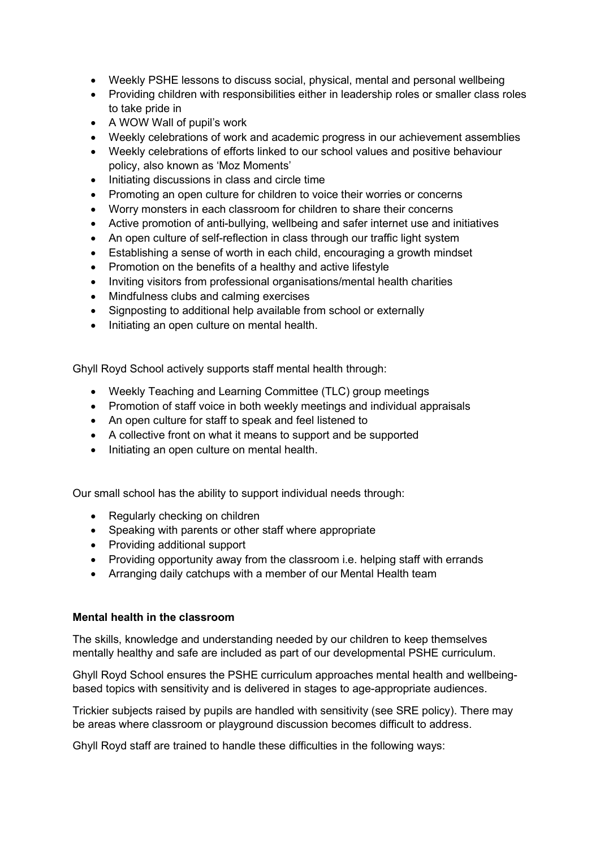- Weekly PSHE lessons to discuss social, physical, mental and personal wellbeing
- Providing children with responsibilities either in leadership roles or smaller class roles to take pride in
- A WOW Wall of pupil's work
- Weekly celebrations of work and academic progress in our achievement assemblies
- Weekly celebrations of efforts linked to our school values and positive behaviour policy, also known as 'Moz Moments'
- Initiating discussions in class and circle time
- Promoting an open culture for children to voice their worries or concerns
- Worry monsters in each classroom for children to share their concerns
- Active promotion of anti-bullying, wellbeing and safer internet use and initiatives
- An open culture of self-reflection in class through our traffic light system
- Establishing a sense of worth in each child, encouraging a growth mindset
- Promotion on the benefits of a healthy and active lifestyle
- Inviting visitors from professional organisations/mental health charities
- Mindfulness clubs and calming exercises
- Signposting to additional help available from school or externally
- Initiating an open culture on mental health.

Ghyll Royd School actively supports staff mental health through:

- Weekly Teaching and Learning Committee (TLC) group meetings
- Promotion of staff voice in both weekly meetings and individual appraisals
- An open culture for staff to speak and feel listened to
- A collective front on what it means to support and be supported
- Initiating an open culture on mental health.

Our small school has the ability to support individual needs through:

- Regularly checking on children
- Speaking with parents or other staff where appropriate
- Providing additional support
- Providing opportunity away from the classroom i.e. helping staff with errands
- Arranging daily catchups with a member of our Mental Health team

# Mental health in the classroom

The skills, knowledge and understanding needed by our children to keep themselves mentally healthy and safe are included as part of our developmental PSHE curriculum.

Ghyll Royd School ensures the PSHE curriculum approaches mental health and wellbeingbased topics with sensitivity and is delivered in stages to age-appropriate audiences.

Trickier subjects raised by pupils are handled with sensitivity (see SRE policy). There may be areas where classroom or playground discussion becomes difficult to address.

Ghyll Royd staff are trained to handle these difficulties in the following ways: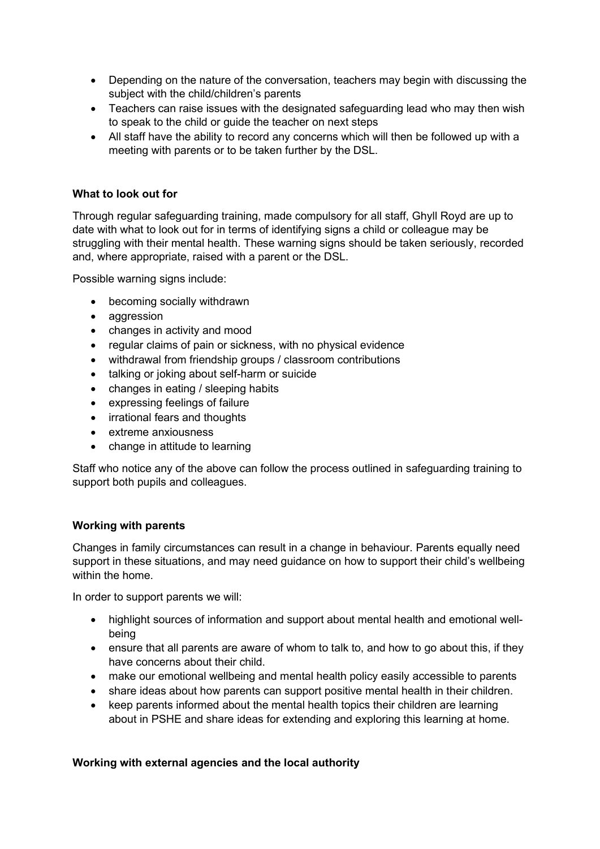- Depending on the nature of the conversation, teachers may begin with discussing the subject with the child/children's parents
- Teachers can raise issues with the designated safeguarding lead who may then wish to speak to the child or guide the teacher on next steps
- All staff have the ability to record any concerns which will then be followed up with a meeting with parents or to be taken further by the DSL.

# What to look out for

Through regular safeguarding training, made compulsory for all staff, Ghyll Royd are up to date with what to look out for in terms of identifying signs a child or colleague may be struggling with their mental health. These warning signs should be taken seriously, recorded and, where appropriate, raised with a parent or the DSL.

Possible warning signs include:

- becoming socially withdrawn
- aggression
- changes in activity and mood
- regular claims of pain or sickness, with no physical evidence
- withdrawal from friendship groups / classroom contributions
- talking or joking about self-harm or suicide
- changes in eating / sleeping habits
- expressing feelings of failure
- irrational fears and thoughts
- extreme anxiousness
- change in attitude to learning

Staff who notice any of the above can follow the process outlined in safeguarding training to support both pupils and colleagues.

# Working with parents

Changes in family circumstances can result in a change in behaviour. Parents equally need support in these situations, and may need guidance on how to support their child's wellbeing within the home.

In order to support parents we will:

- highlight sources of information and support about mental health and emotional wellbeing
- ensure that all parents are aware of whom to talk to, and how to go about this, if they have concerns about their child.
- make our emotional wellbeing and mental health policy easily accessible to parents
- share ideas about how parents can support positive mental health in their children.
- keep parents informed about the mental health topics their children are learning about in PSHE and share ideas for extending and exploring this learning at home.

# Working with external agencies and the local authority